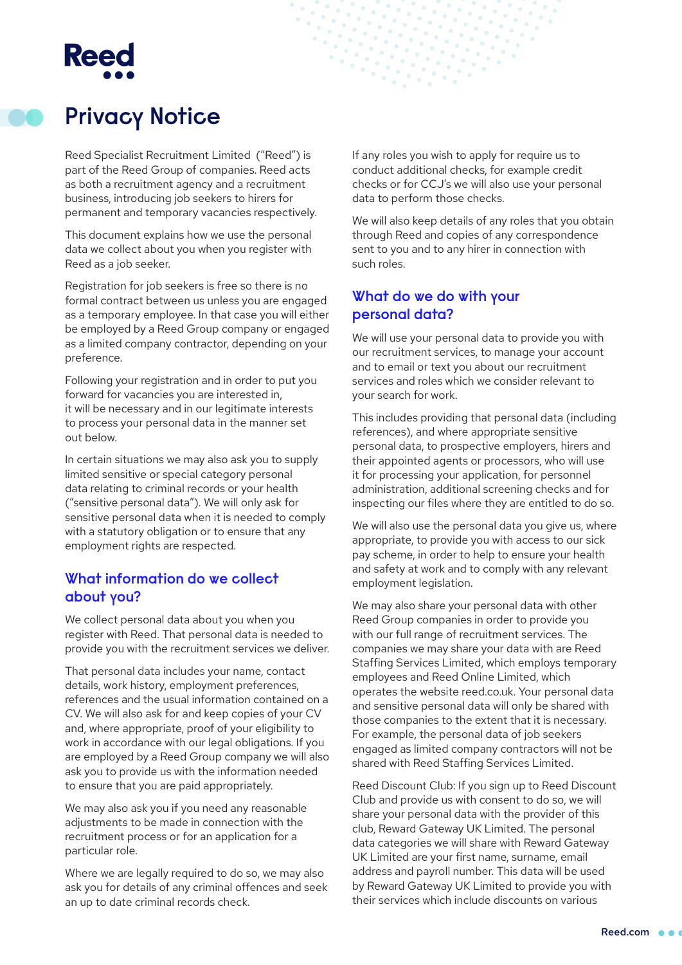# **Reed**



## **Privacy Notice**

Reed Specialist Recruitment Limited ("Reed") is part of the Reed Group of companies. Reed acts as both a recruitment agency and a recruitment business, introducing job seekers to hirers for permanent and temporary vacancies respectively.

This document explains how we use the personal data we collect about you when you register with Reed as a job seeker.

Registration for job seekers is free so there is no formal contract between us unless you are engaged as a temporary employee. In that case you will either be employed by a Reed Group company or engaged as a limited company contractor, depending on your preference.

Following your registration and in order to put you forward for vacancies you are interested in, it will be necessary and in our legitimate interests to process your personal data in the manner set out below.

In certain situations we may also ask you to supply limited sensitive or special category personal data relating to criminal records or your health ("sensitive personal data"). We will only ask for sensitive personal data when it is needed to comply with a statutory obligation or to ensure that any employment rights are respected.

#### **What information do we collect about you?**

We collect personal data about you when you register with Reed. That personal data is needed to provide you with the recruitment services we deliver.

That personal data includes your name, contact details, work history, employment preferences, references and the usual information contained on a CV. We will also ask for and keep copies of your CV and, where appropriate, proof of your eligibility to work in accordance with our legal obligations. If you are employed by a Reed Group company we will also ask you to provide us with the information needed to ensure that you are paid appropriately.

We may also ask you if you need any reasonable adjustments to be made in connection with the recruitment process or for an application for a particular role.

Where we are legally required to do so, we may also ask you for details of any criminal offences and seek an up to date criminal records check.

If any roles you wish to apply for require us to conduct additional checks, for example credit checks or for CCJ's we will also use your personal data to perform those checks.

We will also keep details of any roles that you obtain through Reed and copies of any correspondence sent to you and to any hirer in connection with such roles.

### **What do we do with your personal data?**

We will use your personal data to provide you with our recruitment services, to manage your account and to email or text you about our recruitment services and roles which we consider relevant to your search for work.

This includes providing that personal data (including references), and where appropriate sensitive personal data, to prospective employers, hirers and their appointed agents or processors, who will use it for processing your application, for personnel administration, additional screening checks and for inspecting our files where they are entitled to do so.

We will also use the personal data you give us, where appropriate, to provide you with access to our sick pay scheme, in order to help to ensure your health and safety at work and to comply with any relevant employment legislation.

We may also share your personal data with other Reed Group companies in order to provide you with our full range of recruitment services. The companies we may share your data with are Reed Staffing Services Limited, which employs temporary employees and Reed Online Limited, which operates the website reed.co.uk. Your personal data and sensitive personal data will only be shared with those companies to the extent that it is necessary. For example, the personal data of job seekers engaged as limited company contractors will not be shared with Reed Staffing Services Limited.

Reed Discount Club: If you sign up to Reed Discount Club and provide us with consent to do so, we will share your personal data with the provider of this club, Reward Gateway UK Limited. The personal data categories we will share with Reward Gateway UK Limited are your first name, surname, email address and payroll number. This data will be used by Reward Gateway UK Limited to provide you with their services which include discounts on various